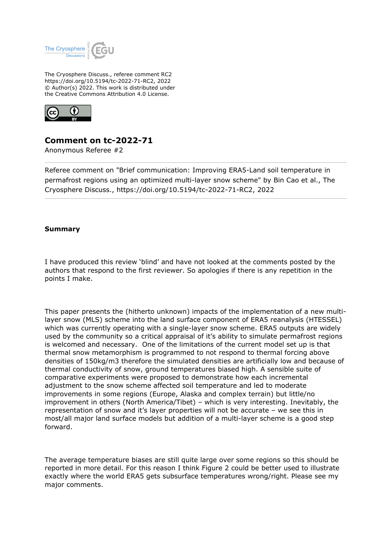

The Cryosphere Discuss., referee comment RC2 https://doi.org/10.5194/tc-2022-71-RC2, 2022 © Author(s) 2022. This work is distributed under the Creative Commons Attribution 4.0 License.



## **Comment on tc-2022-71**

Anonymous Referee #2

Referee comment on "Brief communication: Improving ERA5-Land soil temperature in permafrost regions using an optimized multi-layer snow scheme" by Bin Cao et al., The Cryosphere Discuss., https://doi.org/10.5194/tc-2022-71-RC2, 2022

## **Summary**

I have produced this review 'blind' and have not looked at the comments posted by the authors that respond to the first reviewer. So apologies if there is any repetition in the points I make.

This paper presents the (hitherto unknown) impacts of the implementation of a new multilayer snow (MLS) scheme into the land surface component of ERA5 reanalysis (HTESSEL) which was currently operating with a single-layer snow scheme. ERA5 outputs are widely used by the community so a critical appraisal of it's ability to simulate permafrost regions is welcomed and necessary. One of the limitations of the current model set up is that thermal snow metamorphism is programmed to not respond to thermal forcing above densities of 150kg/m3 therefore the simulated densities are artificially low and because of thermal conductivity of snow, ground temperatures biased high. A sensible suite of comparative experiments were proposed to demonstrate how each incremental adjustment to the snow scheme affected soil temperature and led to moderate improvements in some regions (Europe, Alaska and complex terrain) but little/no improvement in others (North America/Tibet) – which is very interesting. Inevitably, the representation of snow and it's layer properties will not be accurate – we see this in most/all major land surface models but addition of a multi-layer scheme is a good step forward.

The average temperature biases are still quite large over some regions so this should be reported in more detail. For this reason I think Figure 2 could be better used to illustrate exactly where the world ERA5 gets subsurface temperatures wrong/right. Please see my major comments.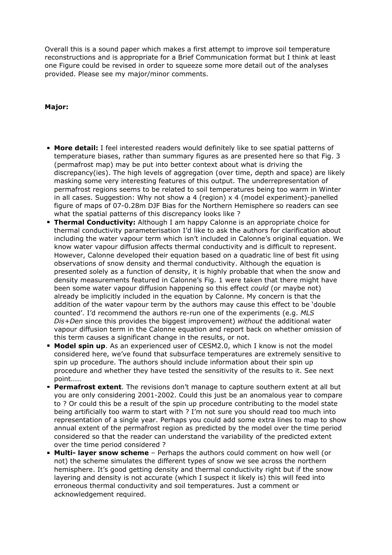Overall this is a sound paper which makes a first attempt to improve soil temperature reconstructions and is appropriate for a Brief Communication format but I think at least one Figure could be revised in order to squeeze some more detail out of the analyses provided. Please see my major/minor comments.

## **Major:**

- **More detail:** I feel interested readers would definitely like to see spatial patterns of temperature biases, rather than summary figures as are presented here so that Fig. 3 (permafrost map) may be put into better context about what is driving the discrepancy(ies). The high levels of aggregation (over time, depth and space) are likely masking some very interesting features of this output. The underrepresentation of permafrost regions seems to be related to soil temperatures being too warm in Winter in all cases. Suggestion: Why not show a 4 (region)  $\times$  4 (model experiment)-panelled figure of maps of 07-0.28m DJF Bias for the Northern Hemisphere so readers can see what the spatial patterns of this discrepancy looks like ?
- **Thermal Conductivity:** Although I am happy Calonne is an appropriate choice for thermal conductivity parameterisation I'd like to ask the authors for clarification about including the water vapour term which isn't included in Calonne's original equation. We know water vapour diffusion affects thermal conductivity and is difficult to represent. However, Calonne developed their equation based on a quadratic line of best fit using observations of snow density and thermal conductivity. Although the equation is presented solely as a function of density, it is highly probable that when the snow and density measurements featured in Calonne's Fig. 1 were taken that there might have been some water vapour diffusion happening so this effect *could* (or maybe not) already be implicitly included in the equation by Calonne. My concern is that the addition of the water vapour term by the authors may cause this effect to be 'double counted'. I'd recommend the authors re-run one of the experiments (e.g. *MLS Dis+Den* since this provides the biggest improvement) *without* the additional water vapour diffusion term in the Calonne equation and report back on whether omission of this term causes a significant change in the results, or not.
- **Model spin up**. As an experienced user of CESM2.0, which I know is not the model considered here, we've found that subsurface temperatures are extremely sensitive to spin up procedure. The authors should include information about their spin up procedure and whether they have tested the sensitivity of the results to it. See next point……
- **Permafrost extent**. The revisions don't manage to capture southern extent at all but you are only considering 2001-2002. Could this just be an anomalous year to compare to ? Or could this be a result of the spin up procedure contributing to the model state being artificially too warm to start with ? I'm not sure you should read too much into representation of a single year. Perhaps you could add some extra lines to map to show annual extent of the permafrost region as predicted by the model over the time period considered so that the reader can understand the variability of the predicted extent over the time period considered ?
- **Multi- layer snow scheme** Perhaps the authors could comment on how well (or not) the scheme simulates the different types of snow we see across the northern hemisphere. It's good getting density and thermal conductivity right but if the snow layering and density is not accurate (which I suspect it likely is) this will feed into erroneous thermal conductivity and soil temperatures. Just a comment or acknowledgement required.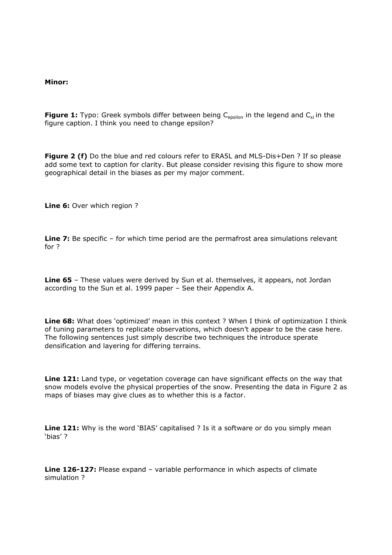## **Minor:**

**Figure 1:** Typo: Greek symbols differ between being C<sub>epsilon</sub> in the legend and C<sub>xi</sub> in the figure caption. I think you need to change epsilon?

Figure 2 (f) Do the blue and red colours refer to ERA5L and MLS-Dis+Den ? If so please add some text to caption for clarity. But please consider revising this figure to show more geographical detail in the biases as per my major comment.

Line 6: Over which region ?

**Line 7:** Be specific – for which time period are the permafrost area simulations relevant for ?

**Line 65** – These values were derived by Sun et al. themselves, it appears, not Jordan according to the Sun et al. 1999 paper – See their Appendix A.

**Line 68:** What does 'optimized' mean in this context ? When I think of optimization I think of tuning parameters to replicate observations, which doesn't appear to be the case here. The following sentences just simply describe two techniques the introduce sperate densification and layering for differing terrains.

**Line 121:** Land type, or vegetation coverage can have significant effects on the way that snow models evolve the physical properties of the snow. Presenting the data in Figure 2 as maps of biases may give clues as to whether this is a factor.

Line 121: Why is the word 'BIAS' capitalised ? Is it a software or do you simply mean 'bias' ?

**Line 126-127:** Please expand – variable performance in which aspects of climate simulation ?